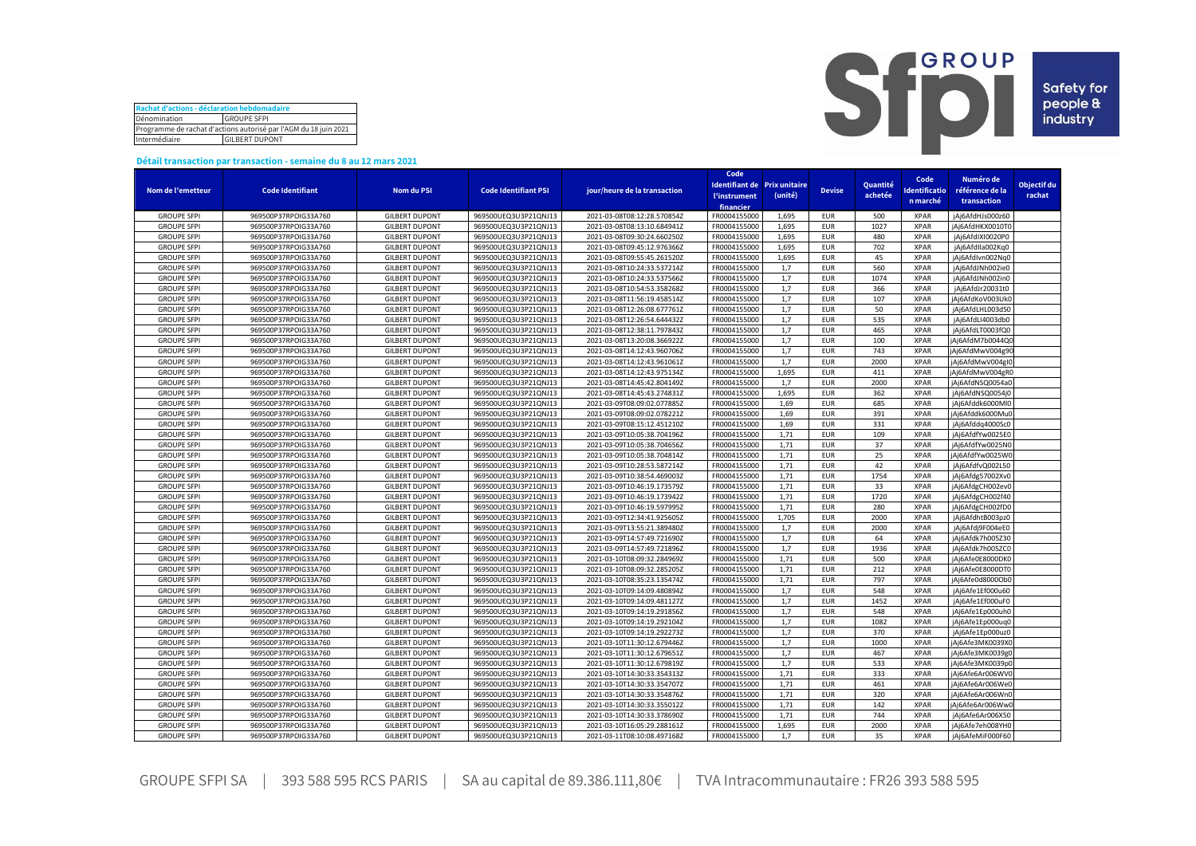| Rachat d'actions - déclaration hebdomadaire                      |                    |  |  |  |  |  |  |
|------------------------------------------------------------------|--------------------|--|--|--|--|--|--|
| Dénomination                                                     | <b>GROUPE SFPI</b> |  |  |  |  |  |  |
| Programme de rachat d'actions autorisé par l'AGM du 18 juin 2021 |                    |  |  |  |  |  |  |
| Intermédiaire<br><b>GILBERT DUPONT</b>                           |                    |  |  |  |  |  |  |



## **Détail transaction par transaction - semaine du 8 au 12 mars 2021**

|                    |                         |                       |                             |                              | Code                              |                              |               |          |              |                  |             |
|--------------------|-------------------------|-----------------------|-----------------------------|------------------------------|-----------------------------------|------------------------------|---------------|----------|--------------|------------------|-------------|
|                    |                         |                       |                             |                              |                                   | Identifiant de Prix unitaire |               | Quantité | Code         | Numéro de        | Objectif du |
| Nom de l'emetteur  | <b>Code Identifiant</b> | Nom du PSI            | <b>Code Identifiant PSI</b> | jour/heure de la transaction | <b><i><u>l'instrument</u></i></b> | (unité)                      | <b>Devise</b> | achetée  | dentificatio | référence de la  | rachat      |
|                    |                         |                       |                             |                              | financier                         |                              |               |          | n marché     | transaction      |             |
| <b>GROUPE SFPI</b> | 969500P37RPOIG33A760    | <b>GILBERT DUPONT</b> | 969500UEQ3U3P21QNJ13        | 2021-03-08T08:12:28.570854Z  | FR0004155000                      | 1,695                        | <b>EUR</b>    | 500      | <b>XPAR</b>  | jAj6AfdHJs000z60 |             |
| <b>GROUPE SFPI</b> | 969500P37RPOIG33A760    | <b>GILBERT DUPONT</b> | 969500UEQ3U3P21QNJ13        | 2021-03-08T08:13:10.684941Z  | FR0004155000                      | 1,695                        | <b>EUR</b>    | 1027     | <b>XPAR</b>  | jAj6AfdHKX0010TC |             |
| <b>GROUPE SFPI</b> | 969500P37RPOIG33A760    | <b>GILBERT DUPONT</b> | 969500UEQ3U3P21QNJ13        | 2021-03-08T09:30:24.660250Z  | FR0004155000                      | 1.695                        | <b>EUR</b>    | 480      | <b>XPAR</b>  | jAj6AfdIXI0020P0 |             |
| <b>GROUPE SFPI</b> | 969500P37RPOIG33A760    | <b>GILBERT DUPONT</b> | 969500UEQ3U3P21QNJ13        | 2021-03-08T09:45:12.976366Z  | FR0004155000                      | 1,695                        | <b>EUR</b>    | 702      | <b>XPAR</b>  | jAj6AfdIla002Kg0 |             |
| <b>GROUPE SFPI</b> | 969500P37RPOIG33A760    | <b>GILBERT DUPONT</b> | 969500UEQ3U3P21QNJ13        | 2021-03-08T09:55:45.261520Z  | FR0004155000                      | 1.695                        | <b>EUR</b>    | 45       | <b>XPAR</b>  | iAi6AfdIvn002Na0 |             |
| <b>GROUPE SFPI</b> | 969500P37RPOIG33A760    | <b>GILBERT DUPONT</b> | 969500UEQ3U3P21QNJ13        | 2021-03-08T10:24:33.537214Z  | FR0004155000                      | 1,7                          | <b>EUR</b>    | 560      | <b>XPAR</b>  | jAj6AfdJNh002ie0 |             |
| <b>GROUPE SFPI</b> | 969500P37RPOIG33A760    | <b>GILBERT DUPONT</b> | 969500UEQ3U3P21QNJ13        | 2021-03-08T10:24:33.537566Z  | FR0004155000                      | 1,7                          | <b>EUR</b>    | 1074     | <b>XPAR</b>  | jAj6AfdJNh002in0 |             |
| <b>GROUPE SFPI</b> | 969500P37RPOIG33A760    | <b>GILBERT DUPONT</b> | 969500UEQ3U3P21QNJ13        | 2021-03-08T10:54:53.358268Z  | FR0004155000                      | 1.7                          | <b>EUR</b>    | 366      | <b>XPAR</b>  | jAj6AfdJr20031t0 |             |
| <b>GROUPE SFPI</b> | 969500P37RPOIG33A760    | <b>GILBERT DUPONT</b> | 969500UEQ3U3P21QNJ13        | 2021-03-08T11:56:19.458514Z  | FR0004155000                      | 1,7                          | <b>EUR</b>    | 107      | <b>XPAR</b>  | jAj6AfdKoV003Uk0 |             |
| <b>GROUPE SFPI</b> | 969500P37RPOIG33A760    | <b>GILBERT DUPONT</b> | 969500UEQ3U3P21QNJ13        | 2021-03-08T12:26:08.677761Z  | FR0004155000                      | 1,7                          | <b>EUR</b>    | 50       | <b>XPAR</b>  | jAj6AfdLHL003dS0 |             |
| <b>GROUPE SFPI</b> | 969500P37RPOIG33A760    | <b>GILBERT DUPONT</b> | 969500UEQ3U3P21QNJ13        | 2021-03-08T12:26:54.644432Z  | FR0004155000                      | 1,7                          | <b>EUR</b>    | 535      | XPAR         | jAj6AfdLI4003db0 |             |
| <b>GROUPE SFPI</b> | 969500P37RPOIG33A760    | <b>GILBERT DUPONT</b> | 969500UEQ3U3P21QNJ13        | 2021-03-08T12:38:11.797843Z  | FR0004155000                      | 1,7                          | <b>EUR</b>    | 465      | <b>XPAR</b>  | jAj6AfdLT0003fQ0 |             |
| <b>GROUPE SFPI</b> | 969500P37RPOIG33A760    | <b>GILBERT DUPONT</b> | 969500UEQ3U3P21QNJ13        | 2021-03-08T13:20:08.366922Z  | FR0004155000                      | 1,7                          | <b>EUR</b>    | 100      | <b>XPAR</b>  | jAj6AfdM7b0044Q0 |             |
|                    |                         |                       |                             |                              |                                   | 1,7                          | <b>EUR</b>    | 743      |              |                  |             |
| <b>GROUPE SFPI</b> | 969500P37RPOIG33A760    | <b>GILBERT DUPONT</b> | 969500UEQ3U3P21QNJ13        | 2021-03-08T14:12:43.960706Z  | FR0004155000                      |                              |               |          | <b>XPAR</b>  | jAj6AfdMwV004g90 |             |
| <b>GROUPE SFPI</b> | 969500P37RPOIG33A760    | <b>GILBERT DUPONT</b> | 969500UEQ3U3P21QNJ13        | 2021-03-08T14:12:43.961061Z  | FR0004155000                      | 1,7                          | <b>EUR</b>    | 2000     | <b>XPAR</b>  | jAj6AfdMwV004gI0 |             |
| <b>GROUPE SFPI</b> | 969500P37RPOIG33A760    | <b>GILBERT DUPONT</b> | 969500UEQ3U3P21QNJ13        | 2021-03-08T14:12:43.975134Z  | FR0004155000                      | 1,695                        | <b>EUR</b>    | 411      | <b>XPAR</b>  | jAj6AfdMwV004gR0 |             |
| <b>GROUPE SFPI</b> | 969500P37RPOIG33A760    | <b>GILBERT DUPONT</b> | 969500UEQ3U3P21QNJ13        | 2021-03-08T14:45:42.804149Z  | FR0004155000                      | 1,7                          | <b>EUR</b>    | 2000     | <b>XPAR</b>  | jAj6AfdNSQ0054a0 |             |
| <b>GROUPE SFPI</b> | 969500P37RPOIG33A760    | <b>GILBERT DUPONT</b> | 969500UEQ3U3P21QNJ13        | 2021-03-08T14:45:43.274831Z  | FR0004155000                      | 1,695                        | <b>EUR</b>    | 362      | <b>XPAR</b>  | jAj6AfdNSQ0054j0 |             |
| <b>GROUPE SFPI</b> | 969500P37RPOIG33A760    | <b>GILBERT DUPONT</b> | 969500UEQ3U3P21QNJ13        | 2021-03-09T08:09:02.077885Z  | FR0004155000                      | 1,69                         | <b>EUR</b>    | 685      | <b>XPAR</b>  | jAj6Afddk6000Ml0 |             |
| <b>GROUPE SFPI</b> | 969500P37RPOIG33A760    | <b>GILBERT DUPONT</b> | 969500UEQ3U3P21QNJ13        | 2021-03-09T08:09:02.078221Z  | FR0004155000                      | 1,69                         | <b>EUR</b>    | 391      | <b>XPAR</b>  | jAj6Afddk6000Mu0 |             |
| <b>GROUPE SFPI</b> | 969500P37RPOIG33A760    | <b>GILBERT DUPONT</b> | 969500UEQ3U3P21QNJ13        | 2021-03-09T08:15:12.451210Z  | FR0004155000                      | 1,69                         | <b>EUR</b>    | 331      | <b>XPAR</b>  | jAj6Afddq4000Sc0 |             |
| <b>GROUPE SFPI</b> | 969500P37RPOIG33A760    | <b>GILBERT DUPONT</b> | 969500UEQ3U3P21QNJ13        | 2021-03-09T10:05:38.704196Z  | FR0004155000                      | 1,71                         | <b>EUR</b>    | 109      | XPAR         | jAj6AfdfYw0025E0 |             |
| <b>GROUPE SFPI</b> | 969500P37RPOIG33A760    | <b>GILBERT DUPONT</b> | 969500UEQ3U3P21QNJ13        | 2021-03-09T10:05:38.704656Z  | FR0004155000                      | 1,71                         | <b>EUR</b>    | 37       | <b>XPAR</b>  | jAj6AfdfYw0025N0 |             |
| <b>GROUPE SFPI</b> | 969500P37RPOIG33A760    | <b>GILBERT DUPONT</b> | 969500UEQ3U3P21QNJ13        | 2021-03-09T10:05:38.704814Z  | FR0004155000                      | 1,71                         | <b>EUR</b>    | 25       | <b>XPAR</b>  | jAj6AfdfYw0025W0 |             |
| <b>GROUPE SFPI</b> | 969500P37RPOIG33A760    | <b>GILBERT DUPONT</b> | 969500UEQ3U3P21QNJ13        | 2021-03-09T10:28:53.587214Z  | FR0004155000                      | 1,71                         | <b>EUR</b>    | 42       | <b>XPAR</b>  | jAj6AfdfvQ002L50 |             |
| <b>GROUPE SFPI</b> | 969500P37RPOIG33A760    | <b>GILBERT DUPONT</b> | 969500UEQ3U3P21QNJ13        | 2021-03-09T10:38:54.469003Z  | FR0004155000                      | 1,71                         | <b>EUR</b>    | 1754     | <b>XPAR</b>  | jAj6Afdg57002Xv0 |             |
| <b>GROUPE SFPI</b> | 969500P37RPOIG33A760    | <b>GILBERT DUPONT</b> | 969500UEQ3U3P21QNJ13        | 2021-03-09T10:46:19.173579Z  | FR0004155000                      | 1,71                         | <b>EUR</b>    | 33       | <b>XPAR</b>  | jAj6AfdgCH002ev0 |             |
| <b>GROUPE SFPI</b> | 969500P37RPOIG33A760    | <b>GILBERT DUPONT</b> | 969500UEQ3U3P21QNJ13        | 2021-03-09T10:46:19.173942Z  | FR0004155000                      | 1,71                         | <b>EUR</b>    | 1720     | <b>XPAR</b>  | jAj6AfdgCH002f40 |             |
| <b>GROUPE SFPI</b> | 969500P37RPOIG33A760    | <b>GILBERT DUPONT</b> | 969500UEQ3U3P21QNJ13        | 2021-03-09T10:46:19.597995Z  | FR0004155000                      | 1,71                         | <b>EUR</b>    | 280      | <b>XPAR</b>  | jAj6AfdgCH002fD0 |             |
| <b>GROUPE SFPI</b> | 969500P37RPOIG33A760    | <b>GILBERT DUPONT</b> | 969500UEQ3U3P21QNJ13        | 2021-03-09T12:34:41.925605Z  | FR0004155000                      | 1,705                        | <b>EUR</b>    | 2000     | <b>XPAR</b>  | jAj6AfdhtB003pz0 |             |
| <b>GROUPE SFPI</b> | 969500P37RPOIG33A760    | <b>GILBERT DUPONT</b> | 969500UEQ3U3P21QNJ13        | 2021-03-09T13:55:21.389480Z  | FR0004155000                      | 1.7                          | <b>EUR</b>    | 2000     | <b>XPAR</b>  | jAj6Afdj9F004eE0 |             |
| <b>GROUPE SFPI</b> | 969500P37RPOIG33A760    | <b>GILBERT DUPONT</b> | 969500UEQ3U3P21QNJ13        | 2021-03-09T14:57:49.721690Z  | FR0004155000                      | 1,7                          | <b>EUR</b>    | 64       | <b>XPAR</b>  | jAj6Afdk7h005Z30 |             |
| <b>GROUPE SFPI</b> | 969500P37RPOIG33A760    | <b>GILBERT DUPONT</b> | 969500UEQ3U3P21QNJ13        | 2021-03-09T14:57:49.721896Z  | FR0004155000                      | 1,7                          | <b>EUR</b>    | 1936     | <b>XPAR</b>  | jAj6Afdk7h005ZC0 |             |
| <b>GROUPE SFPI</b> | 969500P37RPOIG33A760    | <b>GILBERT DUPONT</b> | 969500UEQ3U3P21QNJ13        | 2021-03-10T08:09:32.284969Z  | FR0004155000                      | 1,71                         | <b>EUR</b>    | 500      | <b>XPAR</b>  | jAj6Afe0E8000DK0 |             |
| <b>GROUPE SFPI</b> | 969500P37RPOIG33A760    | <b>GILBERT DUPONT</b> | 969500UEQ3U3P21QNJ13        | 2021-03-10T08:09:32.285205Z  | FR0004155000                      | 1,71                         | <b>EUR</b>    | 212      | <b>XPAR</b>  | jAj6Afe0E8000DTC |             |
| <b>GROUPE SFPI</b> | 969500P37RPOIG33A760    | <b>GILBERT DUPONT</b> | 969500UEQ3U3P21QNJ13        | 2021-03-10T08:35:23.135474Z  | FR0004155000                      | 1,71                         | <b>EUR</b>    | 797      | <b>XPAR</b>  | jAj6Afe0d8000Ob0 |             |
| <b>GROUPE SFPI</b> | 969500P37RPOIG33A760    | <b>GILBERT DUPONT</b> | 969500UEQ3U3P21QNJ13        | 2021-03-10T09:14:09.480894Z  | FR0004155000                      | 1,7                          | <b>EUR</b>    | 548      | <b>XPAR</b>  | jAj6Afe1Ef000u60 |             |
| <b>GROUPE SFPI</b> | 969500P37RPOIG33A760    | <b>GILBERT DUPONT</b> | 969500UEQ3U3P21QNJ13        | 2021-03-10T09:14:09.481127Z  | FR0004155000                      | 1,7                          | <b>EUR</b>    | 1452     | <b>XPAR</b>  | jAj6Afe1Ef000uF0 |             |
| <b>GROUPE SFPI</b> | 969500P37RPOIG33A760    | <b>GILBERT DUPONT</b> | 969500UEQ3U3P21QNJ13        | 2021-03-10T09:14:19.291856Z  | FR0004155000                      | 1,7                          | <b>EUR</b>    | 548      | <b>XPAR</b>  | jAj6Afe1Ep000uh0 |             |
| <b>GROUPE SFPI</b> | 969500P37RPOIG33A760    | <b>GILBERT DUPONT</b> | 969500UEQ3U3P21QNJ13        | 2021-03-10T09:14:19.292104Z  | FR0004155000                      | 1,7                          | <b>EUR</b>    | 1082     | <b>XPAR</b>  | jAj6Afe1Ep000uq0 |             |
| <b>GROUPE SFPI</b> | 969500P37RPOIG33A760    | <b>GILBERT DUPONT</b> | 969500UEQ3U3P21QNJ13        | 2021-03-10T09:14:19.292273Z  | FR0004155000                      | 1,7                          | <b>EUR</b>    | 370      | <b>XPAR</b>  | jAj6Afe1Ep000uz0 |             |
| <b>GROUPE SFPI</b> | 969500P37RPOIG33A760    | <b>GILBERT DUPONT</b> | 969500UEQ3U3P21QNJ13        | 2021-03-10T11:30:12.679446Z  | FR0004155000                      | 1,7                          | <b>EUR</b>    | 1000     | <b>XPAR</b>  | jAj6Afe3MK0039X0 |             |
| <b>GROUPE SFPI</b> | 969500P37RPOIG33A760    | <b>GILBERT DUPONT</b> | 969500UEQ3U3P21QNJ13        | 2021-03-10T11:30:12.679651Z  | FR0004155000                      | 1,7                          | <b>EUR</b>    | 467      | <b>XPAR</b>  | jAj6Afe3MK0039g( |             |
| <b>GROUPE SFPI</b> | 969500P37RPOIG33A760    | <b>GILBERT DUPONT</b> | 969500UEQ3U3P21QNJ13        | 2021-03-10T11:30:12.679819Z  | FR0004155000                      | 1,7                          | <b>EUR</b>    | 533      | <b>XPAR</b>  | jAj6Afe3MK0039p0 |             |
| <b>GROUPE SFPI</b> | 969500P37RPOIG33A760    | <b>GILBERT DUPONT</b> | 969500UEQ3U3P21QNJ13        | 2021-03-10T14:30:33.354313Z  | FR0004155000                      | 1,71                         | <b>EUR</b>    | 333      | <b>XPAR</b>  | jAj6Afe6Ar006WV0 |             |
| <b>GROUPE SFPI</b> | 969500P37RPOIG33A760    | <b>GILBERT DUPONT</b> | 969500UEQ3U3P21QNJ13        | 2021-03-10T14:30:33.354707Z  | FR0004155000                      | 1,71                         | <b>EUR</b>    | 461      | <b>XPAR</b>  | jAj6Afe6Ar006WeC |             |
| <b>GROUPE SFPI</b> | 969500P37RPOIG33A760    | <b>GILBERT DUPONT</b> | 969500UEQ3U3P21QNJ13        | 2021-03-10T14:30:33.354876Z  | FR0004155000                      | 1,71                         | <b>EUR</b>    | 320      | <b>XPAR</b>  | jAj6Afe6Ar006Wn0 |             |
| <b>GROUPE SFPI</b> | 969500P37RPOIG33A760    |                       | 969500UEQ3U3P21QNJ13        |                              | FR0004155000                      | 1,71                         |               | 142      | <b>XPAR</b>  |                  |             |
|                    |                         | <b>GILBERT DUPONT</b> |                             | 2021-03-10T14:30:33.355012Z  |                                   |                              | <b>EUR</b>    | 744      | <b>XPAR</b>  | jAj6Afe6Ar006Ww0 |             |
| <b>GROUPE SFPI</b> | 969500P37RPOIG33A760    | <b>GILBERT DUPONT</b> | 969500UEQ3U3P21QNJ13        | 2021-03-10T14:30:33.378690Z  | FR0004155000                      | 1,71                         | <b>EUR</b>    |          |              | jAj6Afe6Ar006X50 |             |
| <b>GROUPE SFPI</b> | 969500P37RPOIG33A760    | <b>GILBERT DUPONT</b> | 969500UEQ3U3P21QNJ13        | 2021-03-10T16:05:29.288161Z  | FR0004155000                      | 1.695                        | <b>EUR</b>    | 2000     | <b>XPAR</b>  | jAj6Afe7eh008YH0 |             |
| <b>GROUPE SFPI</b> | 969500P37RPOIG33A760    | <b>GILBERT DUPONT</b> | 969500UEQ3U3P21QNJ13        | 2021-03-11T08:10:08.497168Z  | FR0004155000                      | 1.7                          | <b>EUR</b>    | 35       | <b>XPAR</b>  | jAj6AfeMiF000F60 |             |